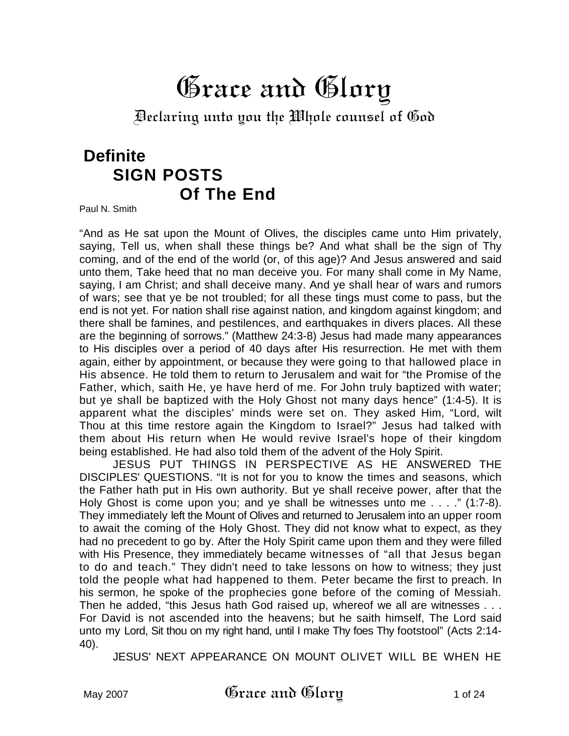# Grace and Glory

Declaring unto you the Whole counsel of God

# **Definite SIGN POSTS Of The End**

Paul N. Smith

"And as He sat upon the Mount of Olives, the disciples came unto Him privately, saying, Tell us, when shall these things be? And what shall be the sign of Thy coming, and of the end of the world (or, of this age)? And Jesus answered and said unto them, Take heed that no man deceive you. For many shall come in My Name, saying, I am Christ; and shall deceive many. And ye shall hear of wars and rumors of wars; see that ye be not troubled; for all these tings must come to pass, but the end is not yet. For nation shall rise against nation, and kingdom against kingdom; and there shall be famines, and pestilences, and earthquakes in divers places. All these are the beginning of sorrows." (Matthew 24:3-8) Jesus had made many appearances to His disciples over a period of 40 days after His resurrection. He met with them again, either by appointment, or because they were going to that hallowed place in His absence. He told them to return to Jerusalem and wait for "the Promise of the Father, which, saith He, ye have herd of me. For John truly baptized with water; but ye shall be baptized with the Holy Ghost not many days hence" (1:4-5). It is apparent what the disciples' minds were set on. They asked Him, "Lord, wilt Thou at this time restore again the Kingdom to Israel?" Jesus had talked with them about His return when He would revive Israel's hope of their kingdom being established. He had also told them of the advent of the Holy Spirit.

JESUS PUT THINGS IN PERSPECTIVE AS HE ANSWERED THE DISCIPLES' QUESTIONS. "It is not for you to know the times and seasons, which the Father hath put in His own authority. But ye shall receive power, after that the Holy Ghost is come upon you; and ye shall be witnesses unto me . . . ." (1:7-8). They immediately left the Mount of Olives and returned to Jerusalem into an upper room to await the coming of the Holy Ghost. They did not know what to expect, as they had no precedent to go by. After the Holy Spirit came upon them and they were filled with His Presence, they immediately became witnesses of "all that Jesus began to do and teach." They didn't need to take lessons on how to witness; they just told the people what had happened to them. Peter became the first to preach. In his sermon, he spoke of the prophecies gone before of the coming of Messiah. Then he added, "this Jesus hath God raised up, whereof we all are witnesses . . . For David is not ascended into the heavens; but he saith himself, The Lord said unto my Lord, Sit thou on my right hand, until I make Thy foes Thy footstool" (Acts 2:14- 40).

JESUS' NEXT APPEARANCE ON MOUNT OLIVET WILL BE WHEN HE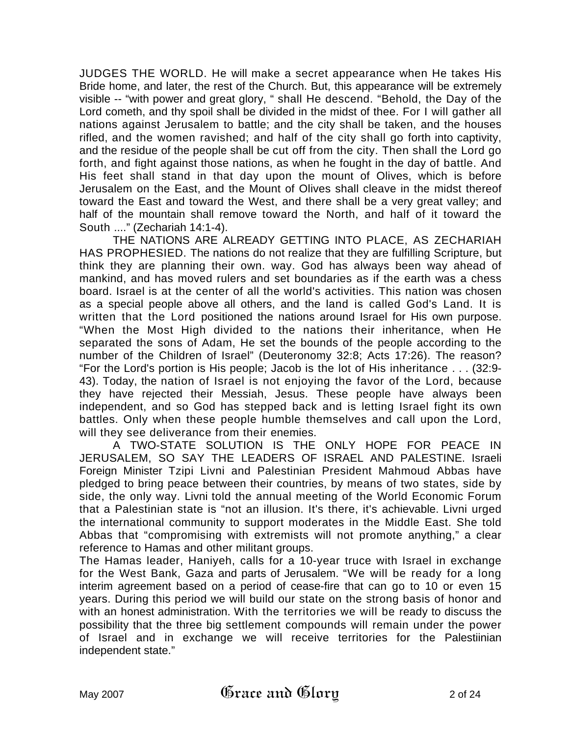JUDGES THE WORLD. He will make a secret appearance when He takes His Bride home, and later, the rest of the Church. But, this appearance will be extremely visible -- "with power and great glory, " shall He descend. "Behold, the Day of the Lord cometh, and thy spoil shall be divided in the midst of thee. For I will gather all nations against Jerusalem to battle; and the city shall be taken, and the houses rifled, and the women ravished; and half of the city shall go forth into captivity, and the residue of the people shall be cut off from the city. Then shall the Lord go forth, and fight against those nations, as when he fought in the day of battle. And His feet shall stand in that day upon the mount of Olives, which is before Jerusalem on the East, and the Mount of Olives shall cleave in the midst thereof toward the East and toward the West, and there shall be a very great valley; and half of the mountain shall remove toward the North, and half of it toward the South ...." (Zechariah 14:1-4).

THE NATIONS ARE ALREADY GETTING INTO PLACE, AS ZECHARIAH HAS PROPHESIED. The nations do not realize that they are fulfilling Scripture, but think they are planning their own. way. God has always been way ahead of mankind, and has moved rulers and set boundaries as if the earth was a chess board. Israel is at the center of all the world's activities. This nation was chosen as a special people above all others, and the land is called God's Land. It is written that the Lord positioned the nations around Israel for His own purpose. "When the Most High divided to the nations their inheritance, when He separated the sons of Adam, He set the bounds of the people according to the number of the Children of Israel" (Deuteronomy 32:8; Acts 17:26). The reason? "For the Lord's portion is His people; Jacob is the lot of His inheritance . . . (32:9- 43). Today, the nation of Israel is not enjoying the favor of the Lord, because they have rejected their Messiah, Jesus. These people have always been independent, and so God has stepped back and is letting Israel fight its own battles. Only when these people humble themselves and call upon the Lord, will they see deliverance from their enemies.

A TWO-STATE SOLUTION IS THE ONLY HOPE FOR PEACE IN JERUSALEM, SO SAY THE LEADERS OF ISRAEL AND PALESTINE. Israeli Foreign Minister Tzipi Livni and Palestinian President Mahmoud Abbas have pledged to bring peace between their countries, by means of two states, side by side, the only way. Livni told the annual meeting of the World Economic Forum that a Palestinian state is "not an illusion. It's there, it's achievable. Livni urged the international community to support moderates in the Middle East. She told Abbas that "compromising with extremists will not promote anything," a clear reference to Hamas and other militant groups.

The Hamas leader, Haniyeh, calls for a 10-year truce with Israel in exchange for the West Bank, Gaza and parts of Jerusalem. "We will be ready for a long interim agreement based on a period of cease-fire that can go to 10 or even 15 years. During this period we will build our state on the strong basis of honor and with an honest administration. With the territories we will be ready to discuss the possibility that the three big settlement compounds will remain under the power of Israel and in exchange we will receive territories for the Palestiinian independent state."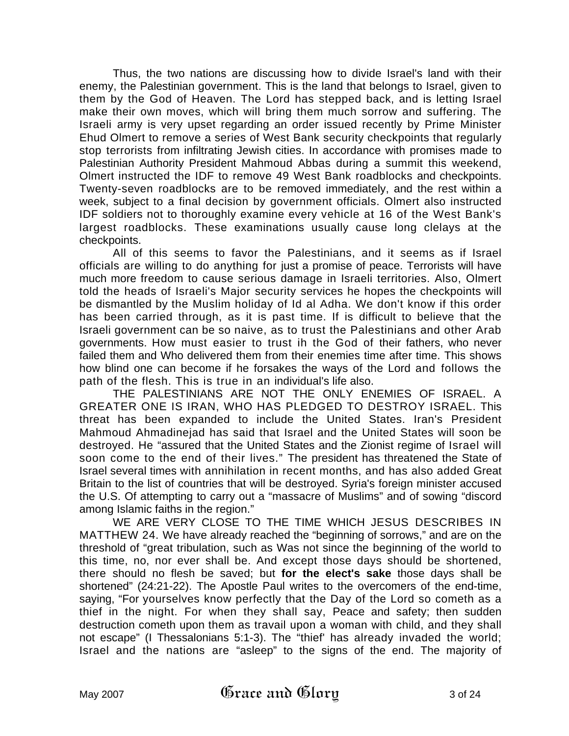Thus, the two nations are discussing how to divide Israel's land with their enemy, the Palestinian government. This is the land that belongs to Israel, given to them by the God of Heaven. The Lord has stepped back, and is letting Israel make their own moves, which will bring them much sorrow and suffering. The Israeli army is very upset regarding an order issued recently by Prime Minister Ehud Olmert to remove a series of West Bank security checkpoints that regularly stop terrorists from infiltrating Jewish cities. In accordance with promises made to Palestinian Authority President Mahmoud Abbas during a summit this weekend, Olmert instructed the IDF to remove 49 West Bank roadblocks and checkpoints. Twenty-seven roadblocks are to be removed immediately, and the rest within a week, subject to a final decision by government officials. Olmert also instructed IDF soldiers not to thoroughly examine every vehicle at 16 of the West Bank's largest roadblocks. These examinations usually cause long clelays at the checkpoints.

All of this seems to favor the Palestinians, and it seems as if Israel officials are willing to do anything for just a promise of peace. Terrorists will have much more freedom to cause serious damage in Israeli territories. Also, Olmert told the heads of Israeli's Major security services he hopes the checkpoints will be dismantled by the Muslim holiday of Id al Adha. We don't know if this order has been carried through, as it is past time. If is difficult to believe that the Israeli government can be so naive, as to trust the Palestinians and other Arab governments. How must easier to trust ih the God of their fathers, who never failed them and Who delivered them from their enemies time after time. This shows how blind one can become if he forsakes the ways of the Lord and follows the path of the flesh. This is true in an individual's life also.

THE PALESTINIANS ARE NOT THE ONLY ENEMIES OF ISRAEL. A GREATER ONE IS IRAN, WHO HAS PLEDGED TO DESTROY ISRAEL. This threat has been expanded to include the United States. Iran's President Mahmoud Ahmadinejad has said that Israel and the United States will soon be destroyed. He "assured that the United States and the Zionist regime of Israel will soon come to the end of their lives." The president has threatened the State of Israel several times with annihilation in recent months, and has also added Great Britain to the list of countries that will be destroyed. Syria's foreign minister accused the U.S. Of attempting to carry out a "massacre of Muslims" and of sowing "discord among Islamic faiths in the region."

WE ARE VERY CLOSE TO THE TIME WHICH JESUS DESCRIBES IN MATTHEW 24. We have already reached the "beginning of sorrows," and are on the threshold of "great tribulation, such as Was not since the beginning of the world to this time, no, nor ever shall be. And except those days should be shortened, there should no flesh be saved; but **for the elect's sake** those days shall be shortened" (24:21-22). The Apostle Paul writes to the overcomers of the end-time, saying, "For yourselves know perfectly that the Day of the Lord so cometh as a thief in the night. For when they shall say, Peace and safety; then sudden destruction cometh upon them as travail upon a woman with child, and they shall not escape" (I Thessalonians 5:1-3). The "thief' has already invaded the world; Israel and the nations are "asleep" to the signs of the end. The majority of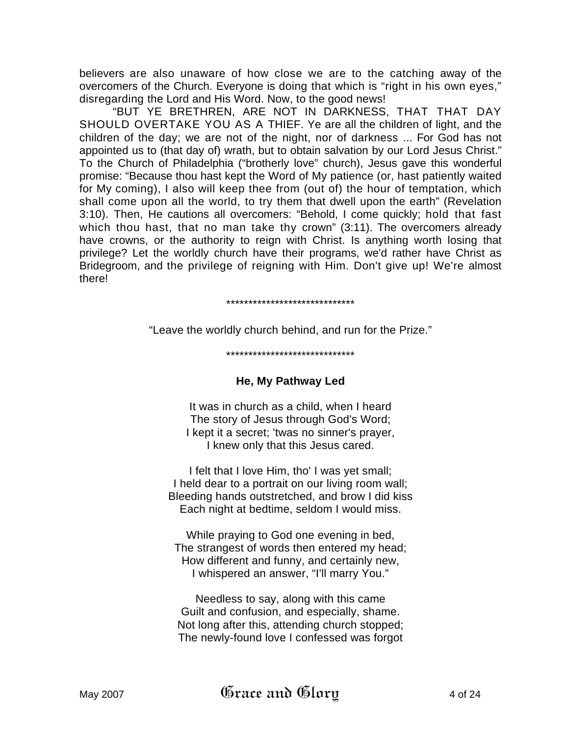believers are also unaware of how close we are to the catching away of the overcomers of the Church. Everyone is doing that which is "right in his own eyes," disregarding the Lord and His Word. Now, to the good news!

"BUT YE BRETHREN, ARE NOT IN DARKNESS, THAT THAT DAY SHOULD OVERTAKE YOU AS A THIEF. Ye are all the children of light, and the children of the day; we are not of the night, nor of darkness ... For God has not appointed us to (that day of) wrath, but to obtain salvation by our Lord Jesus Christ." To the Church of Philadelphia ("brotherly love" church), Jesus gave this wonderful promise: "Because thou hast kept the Word of My patience (or, hast patiently waited for My coming), I also will keep thee from (out of) the hour of temptation, which shall come upon all the world, to try them that dwell upon the earth" (Revelation 3:10). Then, He cautions all overcomers: "Behold, I come quickly; hold that fast which thou hast, that no man take thy crown" (3:11). The overcomers already have crowns, or the authority to reign with Christ. Is anything worth losing that privilege? Let the worldly church have their programs, we'd rather have Christ as Bridegroom, and the privilege of reigning with Him. Don't give up! We're almost there!

#### \*\*\*\*\*\*\*\*\*\*\*\*\*\*\*\*\*\*\*\*\*\*\*\*\*\*\*\*\*

"Leave the worldly church behind, and run for the Prize."

#### \*\*\*\*\*\*\*\*\*\*\*\*\*\*\*\*\*\*\*\*\*\*\*\*\*\*\*\*\*

#### **He, My Pathway Led**

It was in church as a child, when I heard The story of Jesus through God's Word; I kept it a secret; 'twas no sinner's prayer, I knew only that this Jesus cared.

I felt that I love Him, tho' I was yet small; I held dear to a portrait on our living room wall; Bleeding hands outstretched, and brow I did kiss Each night at bedtime, seldom I would miss.

While praying to God one evening in bed, The strangest of words then entered my head; How different and funny, and certainly new, I whispered an answer, "I'll marry You."

Needless to say, along with this came Guilt and confusion, and especially, shame. Not long after this, attending church stopped; The newly-found love I confessed was forgot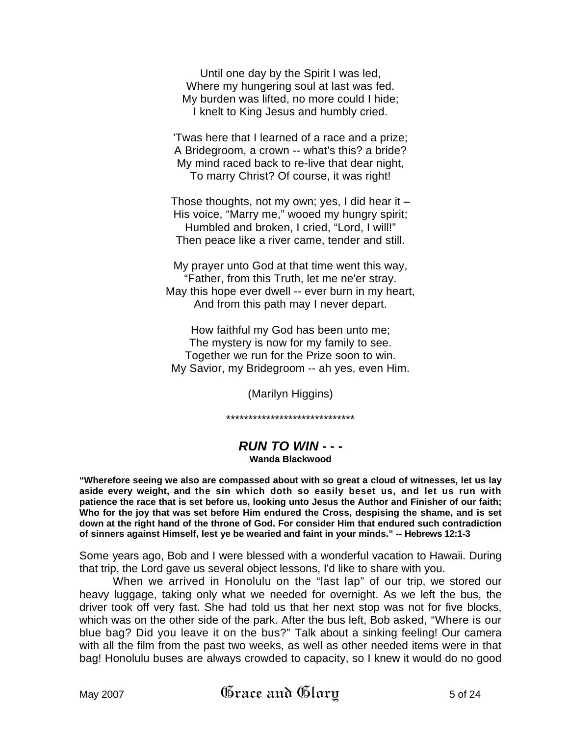Until one day by the Spirit I was led, Where my hungering soul at last was fed. My burden was lifted, no more could I hide; I knelt to King Jesus and humbly cried.

'Twas here that I learned of a race and a prize; A Bridegroom, a crown -- what's this? a bride? My mind raced back to re-live that dear night, To marry Christ? Of course, it was right!

Those thoughts, not my own; yes, I did hear it – His voice, "Marry me," wooed my hungry spirit; Humbled and broken, I cried, "Lord, I will!" Then peace like a river came, tender and still.

My prayer unto God at that time went this way, "Father, from this Truth, let me ne'er stray. May this hope ever dwell -- ever burn in my heart, And from this path may I never depart.

How faithful my God has been unto me; The mystery is now for my family to see. Together we run for the Prize soon to win. My Savior, my Bridegroom -- ah yes, even Him.

(Marilyn Higgins)

\*\*\*\*\*\*\*\*\*\*\*\*\*\*\*\*\*\*\*\*\*\*\*\*\*\*\*\*\*

# *RUN TO WIN - - -* **Wanda Blackwood**

**"Wherefore seeing we also are compassed about with so great a cloud of witnesses, let us lay aside every weight, and the sin which doth so easily beset us, and let us run with patience the race that is set before us, looking unto Jesus the Author and Finisher of our faith; Who for the joy that was set before Him endured the Cross, despising the shame, and is set down at the right hand of the throne of God. For consider Him that endured such contradiction of sinners against Himself, lest ye be wearied and faint in your minds." -- Hebrews 12:1-3** 

Some years ago, Bob and I were blessed with a wonderful vacation to Hawaii. During that trip, the Lord gave us several object lessons, I'd like to share with you.

When we arrived in Honolulu on the "last lap" of our trip, we stored our heavy luggage, taking only what we needed for overnight. As we left the bus, the driver took off very fast. She had told us that her next stop was not for five blocks, which was on the other side of the park. After the bus left, Bob asked, "Where is our blue bag? Did you leave it on the bus?" Talk about a sinking feeling! Our camera with all the film from the past two weeks, as well as other needed items were in that bag! Honolulu buses are always crowded to capacity, so I knew it would do no good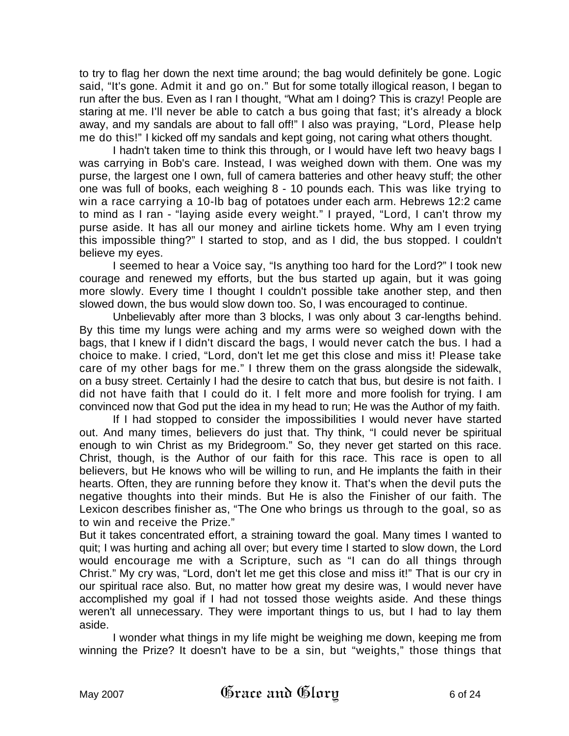to try to flag her down the next time around; the bag would definitely be gone. Logic said, "It's gone. Admit it and go on." But for some totally illogical reason, I began to run after the bus. Even as I ran I thought, "What am I doing? This is crazy! People are staring at me. I'll never be able to catch a bus going that fast; it's already a block away, and my sandals are about to fall off!" I also was praying, "Lord, Please help me do this!" I kicked off my sandals and kept going, not caring what others thought.

I hadn't taken time to think this through, or I would have left two heavy bags I was carrying in Bob's care. Instead, I was weighed down with them. One was my purse, the largest one I own, full of camera batteries and other heavy stuff; the other one was full of books, each weighing 8 - 10 pounds each. This was like trying to win a race carrying a 10-lb bag of potatoes under each arm. Hebrews 12:2 came to mind as I ran - "laying aside every weight." I prayed, "Lord, I can't throw my purse aside. It has all our money and airline tickets home. Why am I even trying this impossible thing?" I started to stop, and as I did, the bus stopped. I couldn't believe my eyes.

I seemed to hear a Voice say, "Is anything too hard for the Lord?" I took new courage and renewed my efforts, but the bus started up again, but it was going more slowly. Every time I thought I couldn't possible take another step, and then slowed down, the bus would slow down too. So, I was encouraged to continue.

Unbelievably after more than 3 blocks, I was only about 3 car-lengths behind. By this time my lungs were aching and my arms were so weighed down with the bags, that I knew if I didn't discard the bags, I would never catch the bus. I had a choice to make. I cried, "Lord, don't let me get this close and miss it! Please take care of my other bags for me." I threw them on the grass alongside the sidewalk, on a busy street. Certainly I had the desire to catch that bus, but desire is not faith. I did not have faith that I could do it. I felt more and more foolish for trying. I am convinced now that God put the idea in my head to run; He was the Author of my faith.

If I had stopped to consider the impossibilities I would never have started out. And many times, believers do just that. Thy think, "I could never be spiritual enough to win Christ as my Bridegroom." So, they never get started on this race. Christ, though, is the Author of our faith for this race. This race is open to all believers, but He knows who will be willing to run, and He implants the faith in their hearts. Often, they are running before they know it. That's when the devil puts the negative thoughts into their minds. But He is also the Finisher of our faith. The Lexicon describes finisher as, "The One who brings us through to the goal, so as to win and receive the Prize."

But it takes concentrated effort, a straining toward the goal. Many times I wanted to quit; I was hurting and aching all over; but every time I started to slow down, the Lord would encourage me with a Scripture, such as "I can do all things through Christ." My cry was, "Lord, don't let me get this close and miss it!" That is our cry in our spiritual race also. But, no matter how great my desire was, I would never have accomplished my goal if I had not tossed those weights aside. And these things weren't all unnecessary. They were important things to us, but I had to lay them aside.

I wonder what things in my life might be weighing me down, keeping me from winning the Prize? It doesn't have to be a sin, but "weights," those things that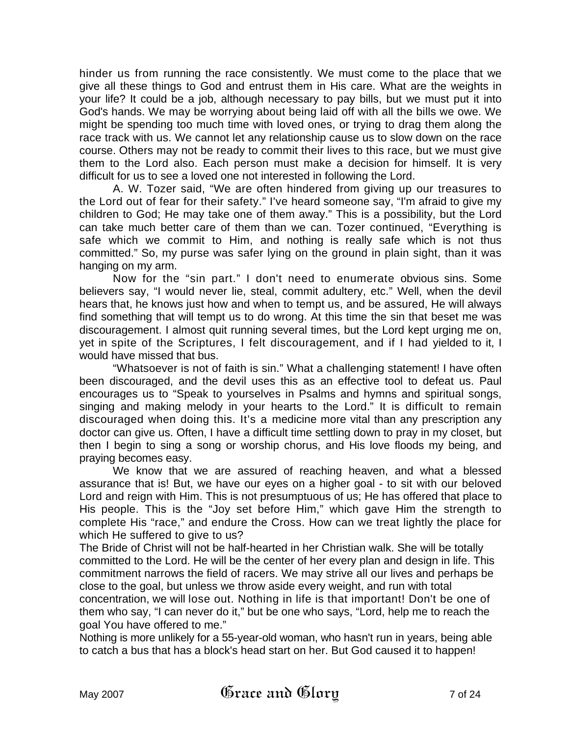hinder us from running the race consistently. We must come to the place that we give all these things to God and entrust them in His care. What are the weights in your life? It could be a job, although necessary to pay bills, but we must put it into God's hands. We may be worrying about being laid off with all the bills we owe. We might be spending too much time with loved ones, or trying to drag them along the race track with us. We cannot let any relationship cause us to slow down on the race course. Others may not be ready to commit their lives to this race, but we must give them to the Lord also. Each person must make a decision for himself. It is very difficult for us to see a loved one not interested in following the Lord.

A. W. Tozer said, "We are often hindered from giving up our treasures to the Lord out of fear for their safety." I've heard someone say, "I'm afraid to give my children to God; He may take one of them away." This is a possibility, but the Lord can take much better care of them than we can. Tozer continued, "Everything is safe which we commit to Him, and nothing is really safe which is not thus committed." So, my purse was safer lying on the ground in plain sight, than it was hanging on my arm.

Now for the "sin part." I don't need to enumerate obvious sins. Some believers say, "I would never lie, steal, commit adultery, etc." Well, when the devil hears that, he knows just how and when to tempt us, and be assured, He will always find something that will tempt us to do wrong. At this time the sin that beset me was discouragement. I almost quit running several times, but the Lord kept urging me on, yet in spite of the Scriptures, I felt discouragement, and if I had yielded to it, I would have missed that bus.

"Whatsoever is not of faith is sin." What a challenging statement! I have often been discouraged, and the devil uses this as an effective tool to defeat us. Paul encourages us to "Speak to yourselves in Psalms and hymns and spiritual songs, singing and making melody in your hearts to the Lord." It is difficult to remain discouraged when doing this. It's a medicine more vital than any prescription any doctor can give us. Often, I have a difficult time settling down to pray in my closet, but then I begin to sing a song or worship chorus, and His love floods my being, and praying becomes easy.

We know that we are assured of reaching heaven, and what a blessed assurance that is! But, we have our eyes on a higher goal - to sit with our beloved Lord and reign with Him. This is not presumptuous of us; He has offered that place to His people. This is the "Joy set before Him," which gave Him the strength to complete His "race," and endure the Cross. How can we treat lightly the place for which He suffered to give to us?

The Bride of Christ will not be half-hearted in her Christian walk. She will be totally committed to the Lord. He will be the center of her every plan and design in life. This commitment narrows the field of racers. We may strive all our lives and perhaps be close to the goal, but unless we throw aside every weight, and run with total concentration, we will lose out. Nothing in life is that important! Don't be one of them who say, "I can never do it," but be one who says, "Lord, help me to reach the goal You have offered to me."

Nothing is more unlikely for a 55-year-old woman, who hasn't run in years, being able to catch a bus that has a block's head start on her. But God caused it to happen!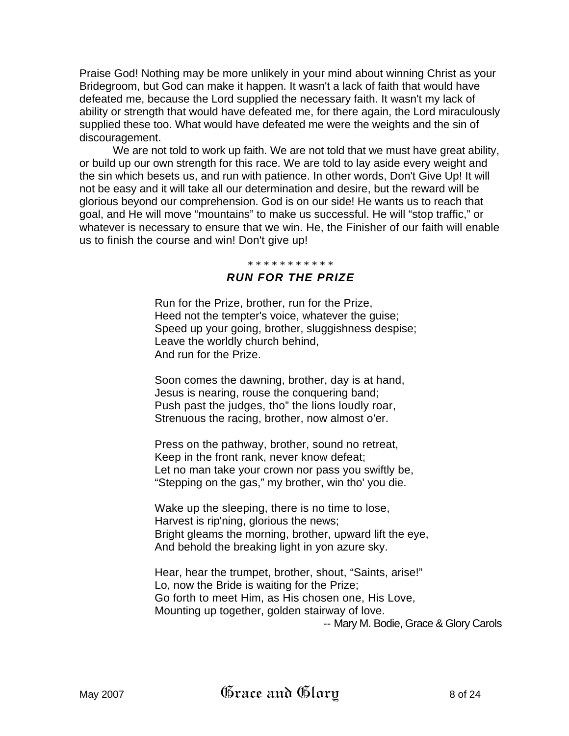Praise God! Nothing may be more unlikely in your mind about winning Christ as your Bridegroom, but God can make it happen. It wasn't a lack of faith that would have defeated me, because the Lord supplied the necessary faith. It wasn't my lack of ability or strength that would have defeated me, for there again, the Lord miraculously supplied these too. What would have defeated me were the weights and the sin of discouragement.

We are not told to work up faith. We are not told that we must have great ability, or build up our own strength for this race. We are told to lay aside every weight and the sin which besets us, and run with patience. In other words, Don't Give Up! It will not be easy and it will take all our determination and desire, but the reward will be glorious beyond our comprehension. God is on our side! He wants us to reach that goal, and He will move "mountains" to make us successful. He will "stop traffic," or whatever is necessary to ensure that we win. He, the Finisher of our faith will enable us to finish the course and win! Don't give up!

#### \* \* \* \* \* \* \* \* \* \* \*

## *RUN FOR THE PRIZE*

Run for the Prize, brother, run for the Prize, Heed not the tempter's voice, whatever the guise; Speed up your going, brother, sluggishness despise; Leave the worldly church behind, And run for the Prize.

Soon comes the dawning, brother, day is at hand, Jesus is nearing, rouse the conquering band; Push past the judges, tho" the lions loudly roar, Strenuous the racing, brother, now almost o'er.

Press on the pathway, brother, sound no retreat, Keep in the front rank, never know defeat; Let no man take your crown nor pass you swiftly be, "Stepping on the gas," my brother, win tho' you die.

Wake up the sleeping, there is no time to lose, Harvest is rip'ning, glorious the news; Bright gleams the morning, brother, upward lift the eye, And behold the breaking light in yon azure sky.

Hear, hear the trumpet, brother, shout, "Saints, arise!" Lo, now the Bride is waiting for the Prize; Go forth to meet Him, as His chosen one, His Love, Mounting up together, golden stairway of love. -- Mary M. Bodie, Grace & Glory Carols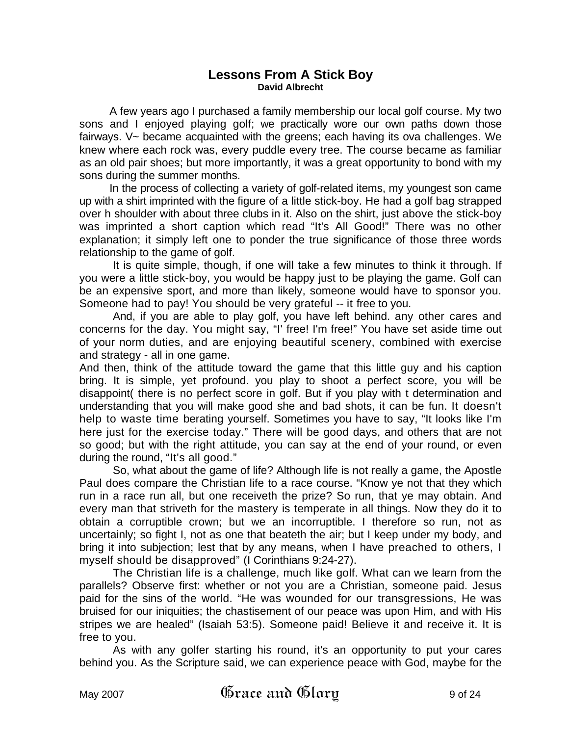### **Lessons From A Stick Boy David Albrecht**

A few years ago I purchased a family membership our local golf course. My two sons and I enjoyed playing golf; we practically wore our own paths down those fairways. V~ became acquainted with the greens; each having its ova challenges. We knew where each rock was, every puddle every tree. The course became as familiar as an old pair shoes; but more importantly, it was a great opportunity to bond with my sons during the summer months.

In the process of collecting a variety of golf-related items, my youngest son came up with a shirt imprinted with the figure of a little stick-boy. He had a golf bag strapped over h shoulder with about three clubs in it. Also on the shirt, just above the stick-boy was imprinted a short caption which read "It's All Good!" There was no other explanation; it simply left one to ponder the true significance of those three words relationship to the game of golf.

It is quite simple, though, if one will take a few minutes to think it through. If you were a little stick-boy, you would be happy just to be playing the game. Golf can be an expensive sport, and more than likely, someone would have to sponsor you. Someone had to pay! You should be very grateful -- it free to you.

And, if you are able to play golf, you have left behind. any other cares and concerns for the day. You might say, "I' free! I'm free!" You have set aside time out of your norm duties, and are enjoying beautiful scenery, combined with exercise and strategy - all in one game.

And then, think of the attitude toward the game that this little guy and his caption bring. It is simple, yet profound. you play to shoot a perfect score, you will be disappoint( there is no perfect score in golf. But if you play with t determination and understanding that you will make good she and bad shots, it can be fun. It doesn't help to waste time berating yourself. Sometimes you have to say, "It looks like I'm here just for the exercise today." There will be good days, and others that are not so good; but with the right attitude, you can say at the end of your round, or even during the round, "It's all good."

So, what about the game of life? Although life is not really a game, the Apostle Paul does compare the Christian life to a race course. "Know ye not that they which run in a race run all, but one receiveth the prize? So run, that ye may obtain. And every man that striveth for the mastery is temperate in all things. Now they do it to obtain a corruptible crown; but we an incorruptible. I therefore so run, not as uncertainly; so fight I, not as one that beateth the air; but I keep under my body, and bring it into subjection; lest that by any means, when I have preached to others, I myself should be disapproved" (I Corinthians 9:24-27).

The Christian life is a challenge, much like golf. What can we learn from the parallels? Observe first: whether or not you are a Christian, someone paid. Jesus paid for the sins of the world. "He was wounded for our transgressions, He was bruised for our iniquities; the chastisement of our peace was upon Him, and with His stripes we are healed" (Isaiah 53:5). Someone paid! Believe it and receive it. It is free to you.

As with any golfer starting his round, it's an opportunity to put your cares behind you. As the Scripture said, we can experience peace with God, maybe for the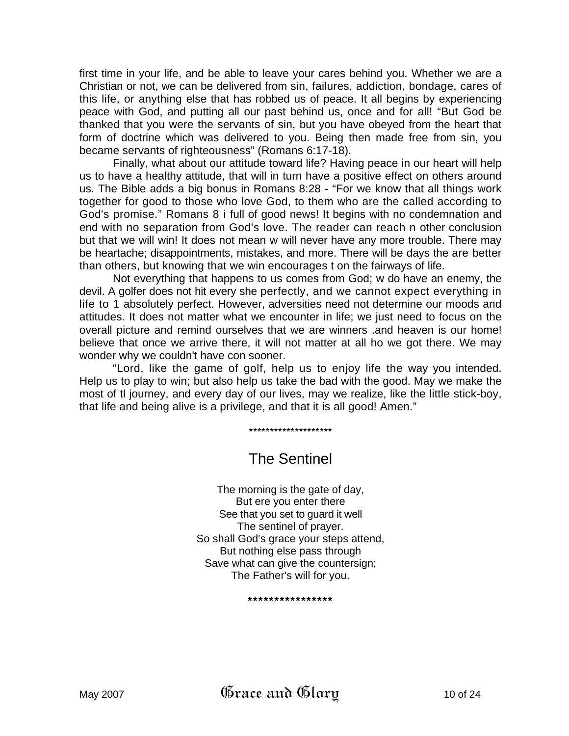first time in your life, and be able to leave your cares behind you. Whether we are a Christian or not, we can be delivered from sin, failures, addiction, bondage, cares of this life, or anything else that has robbed us of peace. It all begins by experiencing peace with God, and putting all our past behind us, once and for all! "But God be thanked that you were the servants of sin, but you have obeyed from the heart that form of doctrine which was delivered to you. Being then made free from sin, you became servants of righteousness" (Romans 6:17-18).

Finally, what about our attitude toward life? Having peace in our heart will help us to have a healthy attitude, that will in turn have a positive effect on others around us. The Bible adds a big bonus in Romans 8:28 - "For we know that all things work together for good to those who love God, to them who are the called according to God's promise." Romans 8 i full of good news! It begins with no condemnation and end with no separation from God's love. The reader can reach n other conclusion but that we will win! It does not mean w will never have any more trouble. There may be heartache; disappointments, mistakes, and more. There will be days the are better than others, but knowing that we win encourages t on the fairways of life.

Not everything that happens to us comes from God; w do have an enemy, the devil. A golfer does not hit every she perfectly, and we cannot expect everything in life to 1 absolutely perfect. However, adversities need not determine our moods and attitudes. It does not matter what we encounter in life; we just need to focus on the overall picture and remind ourselves that we are winners .and heaven is our home! believe that once we arrive there, it will not matter at all ho we got there. We may wonder why we couldn't have con sooner.

"Lord, like the game of golf, help us to enjoy life the way you intended. Help us to play to win; but also help us take the bad with the good. May we make the most of tl journey, and every day of our lives, may we realize, like the little stick-boy, that life and being alive is a privilege, and that it is all good! Amen."

\*\*\*\*\*\*\*\*\*\*\*\*\*\*\*\*\*\*\*\*

# The Sentinel

The morning is the gate of day, But ere you enter there See that you set to guard it well The sentinel of prayer. So shall God's grace your steps attend, But nothing else pass through Save what can give the countersign; The Father's will for you.

**\*\*\*\*\*\*\*\*\*\*\*\*\*\*\*\***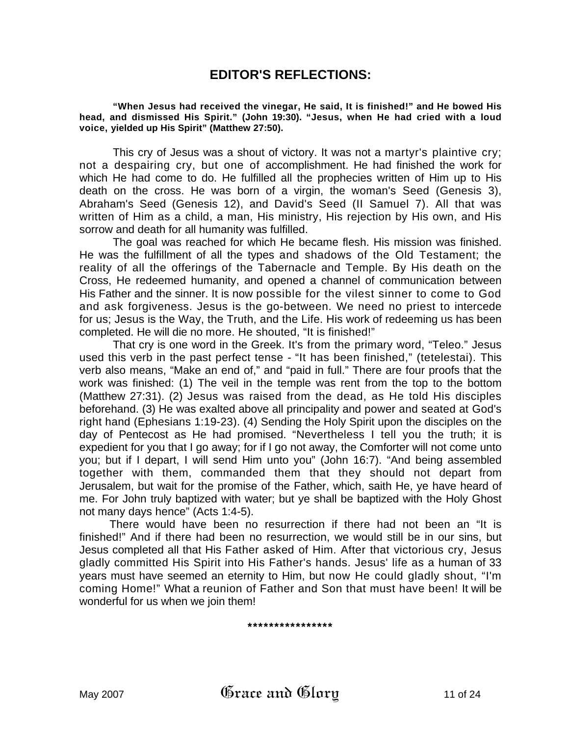# **EDITOR'S REFLECTIONS:**

**"When Jesus had received the vinegar, He said, It is finished!" and He bowed His head, and dismissed His Spirit." (John 19:30). "Jesus, when He had cried with a loud voice, yielded up His Spirit" (Matthew 27:50).** 

This cry of Jesus was a shout of victory. It was not a martyr's plaintive cry; not a despairing cry, but one of accomplishment. He had finished the work for which He had come to do. He fulfilled all the prophecies written of Him up to His death on the cross. He was born of a virgin, the woman's Seed (Genesis 3), Abraham's Seed (Genesis 12), and David's Seed (II Samuel 7). All that was written of Him as a child, a man, His ministry, His rejection by His own, and His sorrow and death for all humanity was fulfilled.

The goal was reached for which He became flesh. His mission was finished. He was the fulfillment of all the types and shadows of the Old Testament; the reality of all the offerings of the Tabernacle and Temple. By His death on the Cross, He redeemed humanity, and opened a channel of communication between His Father and the sinner. It is now possible for the vilest sinner to come to God and ask forgiveness. Jesus is the go-between. We need no priest to intercede for us; Jesus is the Way, the Truth, and the Life. His work of redeeming us has been completed. He will die no more. He shouted, "It is finished!"

That cry is one word in the Greek. It's from the primary word, "Teleo." Jesus used this verb in the past perfect tense - "It has been finished," (tetelestai). This verb also means, "Make an end of," and "paid in full." There are four proofs that the work was finished: (1) The veil in the temple was rent from the top to the bottom (Matthew 27:31). (2) Jesus was raised from the dead, as He told His disciples beforehand. (3) He was exalted above all principality and power and seated at God's right hand (Ephesians 1:19-23). (4) Sending the Holy Spirit upon the disciples on the day of Pentecost as He had promised. "Nevertheless I tell you the truth; it is expedient for you that I go away; for if I go not away, the Comforter will not come unto you; but if I depart, I will send Him unto you" (John 16:7). "And being assembled together with them, commanded them that they should not depart from Jerusalem, but wait for the promise of the Father, which, saith He, ye have heard of me. For John truly baptized with water; but ye shall be baptized with the Holy Ghost not many days hence" (Acts 1:4-5).

There would have been no resurrection if there had not been an "It is finished!" And if there had been no resurrection, we would still be in our sins, but Jesus completed all that His Father asked of Him. After that victorious cry, Jesus gladly committed His Spirit into His Father's hands. Jesus' life as a human of 33 years must have seemed an eternity to Him, but now He could gladly shout, "I'm coming Home!" What a reunion of Father and Son that must have been! It will be wonderful for us when we join them!

**\*\*\*\*\*\*\*\*\*\*\*\*\*\*\*\***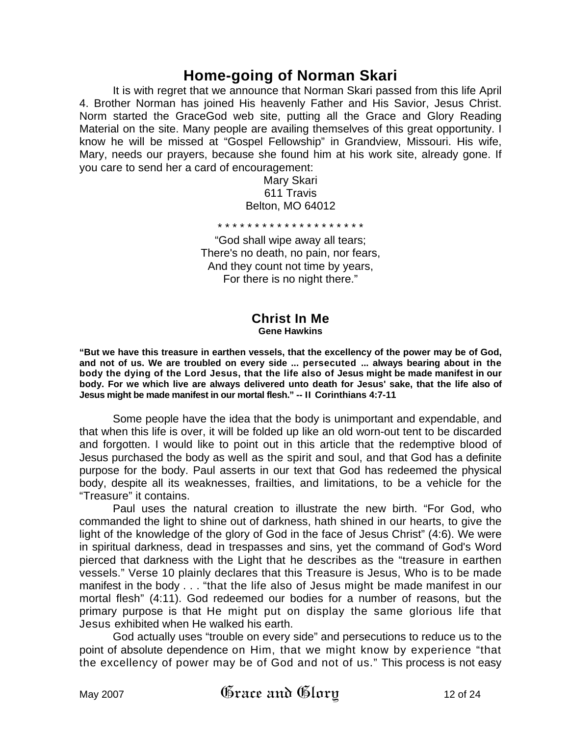# **Home-going of Norman Skari**

It is with regret that we announce that Norman Skari passed from this life April 4. Brother Norman has joined His heavenly Father and His Savior, Jesus Christ. Norm started the GraceGod web site, putting all the Grace and Glory Reading Material on the site. Many people are availing themselves of this great opportunity. I know he will be missed at "Gospel Fellowship" in Grandview, Missouri. His wife, Mary, needs our prayers, because she found him at his work site, already gone. If you care to send her a card of encouragement:

> Mary Skari 611 Travis Belton, MO 64012

\* \* \* \* \* \* \* \* \* \* \* \* \* \* \* \* \* \* \* \*

"God shall wipe away all tears; There's no death, no pain, nor fears, And they count not time by years, For there is no night there."

#### **Christ In Me Gene Hawkins**

**"But we have this treasure in earthen vessels, that the excellency of the power may be of God, and not of us. We are troubled on every side ... persecuted ... always bearing about in the body the dying of the Lord Jesus, that the life also of Jesus might be made manifest in our body. For we which live are always delivered unto death for Jesus' sake, that the life also of Jesus might be made manifest in our mortal flesh." -- II Corinthians 4:7-11**

Some people have the idea that the body is unimportant and expendable, and that when this life is over, it will be folded up like an old worn-out tent to be discarded and forgotten. I would like to point out in this article that the redemptive blood of Jesus purchased the body as well as the spirit and soul, and that God has a definite purpose for the body. Paul asserts in our text that God has redeemed the physical body, despite all its weaknesses, frailties, and limitations, to be a vehicle for the "Treasure" it contains.

Paul uses the natural creation to illustrate the new birth. "For God, who commanded the light to shine out of darkness, hath shined in our hearts, to give the light of the knowledge of the glory of God in the face of Jesus Christ" (4:6). We were in spiritual darkness, dead in trespasses and sins, yet the command of God's Word pierced that darkness with the Light that he describes as the "treasure in earthen vessels." Verse 10 plainly declares that this Treasure is Jesus, Who is to be made manifest in the body . . . "that the life also of Jesus might be made manifest in our mortal flesh" (4:11). God redeemed our bodies for a number of reasons, but the primary purpose is that He might put on display the same glorious life that Jesus exhibited when He walked his earth.

God actually uses "trouble on every side" and persecutions to reduce us to the point of absolute dependence on Him, that we might know by experience "that the excellency of power may be of God and not of us." This process is not easy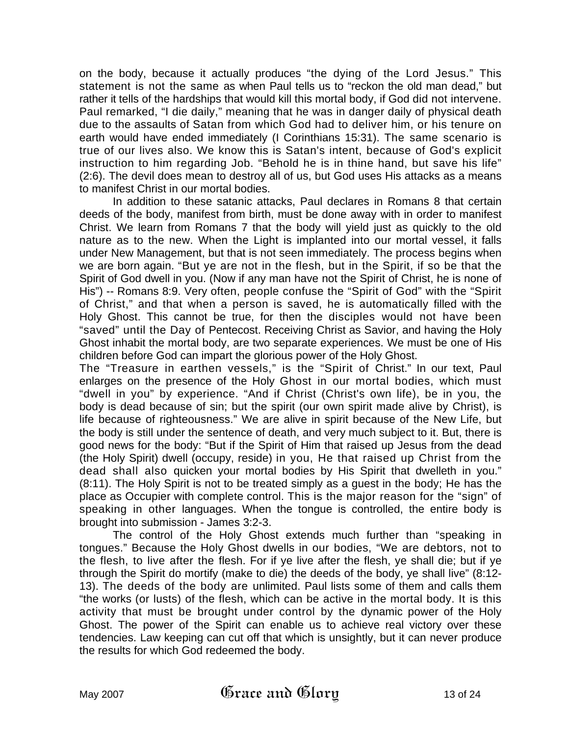on the body, because it actually produces "the dying of the Lord Jesus." This statement is not the same as when Paul tells us to "reckon the old man dead," but rather it tells of the hardships that would kill this mortal body, if God did not intervene. Paul remarked, "I die daily," meaning that he was in danger daily of physical death due to the assaults of Satan from which God had to deliver him, or his tenure on earth would have ended immediately (I Corinthians 15:31). The same scenario is true of our lives also. We know this is Satan's intent, because of God's explicit instruction to him regarding Job. "Behold he is in thine hand, but save his life" (2:6). The devil does mean to destroy all of us, but God uses His attacks as a means to manifest Christ in our mortal bodies.

In addition to these satanic attacks, Paul declares in Romans 8 that certain deeds of the body, manifest from birth, must be done away with in order to manifest Christ. We learn from Romans 7 that the body will yield just as quickly to the old nature as to the new. When the Light is implanted into our mortal vessel, it falls under New Management, but that is not seen immediately. The process begins when we are born again. "But ye are not in the flesh, but in the Spirit, if so be that the Spirit of God dwell in you. (Now if any man have not the Spirit of Christ, he is none of His") -- Romans 8:9. Very often, people confuse the "Spirit of God" with the "Spirit of Christ," and that when a person is saved, he is automatically filled with the Holy Ghost. This cannot be true, for then the disciples would not have been "saved" until the Day of Pentecost. Receiving Christ as Savior, and having the Holy Ghost inhabit the mortal body, are two separate experiences. We must be one of His children before God can impart the glorious power of the Holy Ghost.

The "Treasure in earthen vessels," is the "Spirit of Christ." In our text, Paul enlarges on the presence of the Holy Ghost in our mortal bodies, which must "dwell in you" by experience. "And if Christ (Christ's own life), be in you, the body is dead because of sin; but the spirit (our own spirit made alive by Christ), is life because of righteousness." We are alive in spirit because of the New Life, but the body is still under the sentence of death, and very much subject to it. But, there is good news for the body: "But if the Spirit of Him that raised up Jesus from the dead (the Holy Spirit) dwell (occupy, reside) in you, He that raised up Christ from the dead shall also quicken your mortal bodies by His Spirit that dwelleth in you." (8:11). The Holy Spirit is not to be treated simply as a guest in the body; He has the place as Occupier with complete control. This is the major reason for the "sign" of speaking in other languages. When the tongue is controlled, the entire body is brought into submission - James 3:2-3.

The control of the Holy Ghost extends much further than "speaking in tongues." Because the Holy Ghost dwells in our bodies, "We are debtors, not to the flesh, to live after the flesh. For if ye live after the flesh, ye shall die; but if ye through the Spirit do mortify (make to die) the deeds of the body, ye shall live" (8:12- 13). The deeds of the body are unlimited. Paul lists some of them and calls them "the works (or lusts) of the flesh, which can be active in the mortal body. It is this activity that must be brought under control by the dynamic power of the Holy Ghost. The power of the Spirit can enable us to achieve real victory over these tendencies. Law keeping can cut off that which is unsightly, but it can never produce the results for which God redeemed the body.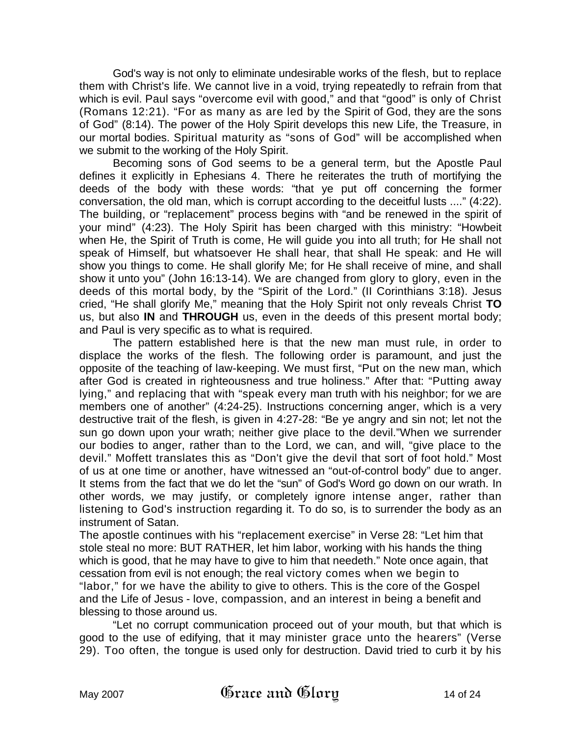God's way is not only to eliminate undesirable works of the flesh, but to replace them with Christ's life. We cannot live in a void, trying repeatedly to refrain from that which is evil. Paul says "overcome evil with good," and that "good" is only of Christ (Romans 12:21). "For as many as are led by the Spirit of God, they are the sons of God" (8:14). The power of the Holy Spirit develops this new Life, the Treasure, in our mortal bodies. Spiritual maturity as "sons of God" will be accomplished when we submit to the working of the Holy Spirit.

Becoming sons of God seems to be a general term, but the Apostle Paul defines it explicitly in Ephesians 4. There he reiterates the truth of mortifying the deeds of the body with these words: "that ye put off concerning the former conversation, the old man, which is corrupt according to the deceitful lusts ...." (4:22). The building, or "replacement" process begins with "and be renewed in the spirit of your mind" (4:23). The Holy Spirit has been charged with this ministry: "Howbeit when He, the Spirit of Truth is come, He will guide you into all truth; for He shall not speak of Himself, but whatsoever He shall hear, that shall He speak: and He will show you things to come. He shall glorify Me; for He shall receive of mine, and shall show it unto you" (John 16:13-14). We are changed from glory to glory, even in the deeds of this mortal body, by the "Spirit of the Lord." (II Corinthians 3:18). Jesus cried, "He shall glorify Me," meaning that the Holy Spirit not only reveals Christ **TO** us, but also **IN** and **THROUGH** us, even in the deeds of this present mortal body; and Paul is very specific as to what is required.

The pattern established here is that the new man must rule, in order to displace the works of the flesh. The following order is paramount, and just the opposite of the teaching of law-keeping. We must first, "Put on the new man, which after God is created in righteousness and true holiness." After that: "Putting away lying," and replacing that with "speak every man truth with his neighbor; for we are members one of another" (4:24-25). Instructions concerning anger, which is a very destructive trait of the flesh, is given in 4:27-28: "Be ye angry and sin not; let not the sun go down upon your wrath; neither give place to the devil."When we surrender our bodies to anger, rather than to the Lord, we can, and will, "give place to the devil." Moffett translates this as "Don't give the devil that sort of foot hold." Most of us at one time or another, have witnessed an "out-of-control body" due to anger. It stems from the fact that we do let the "sun" of God's Word go down on our wrath. In other words, we may justify, or completely ignore intense anger, rather than listening to God's instruction regarding it. To do so, is to surrender the body as an instrument of Satan.

The apostle continues with his "replacement exercise" in Verse 28: "Let him that stole steal no more: BUT RATHER, let him labor, working with his hands the thing which is good, that he may have to give to him that needeth." Note once again, that cessation from evil is not enough; the real victory comes when we begin to "labor," for we have the ability to give to others. This is the core of the Gospel and the Life of Jesus - love, compassion, and an interest in being a benefit and blessing to those around us.

"Let no corrupt communication proceed out of your mouth, but that which is good to the use of edifying, that it may minister grace unto the hearers" (Verse 29). Too often, the tongue is used only for destruction. David tried to curb it by his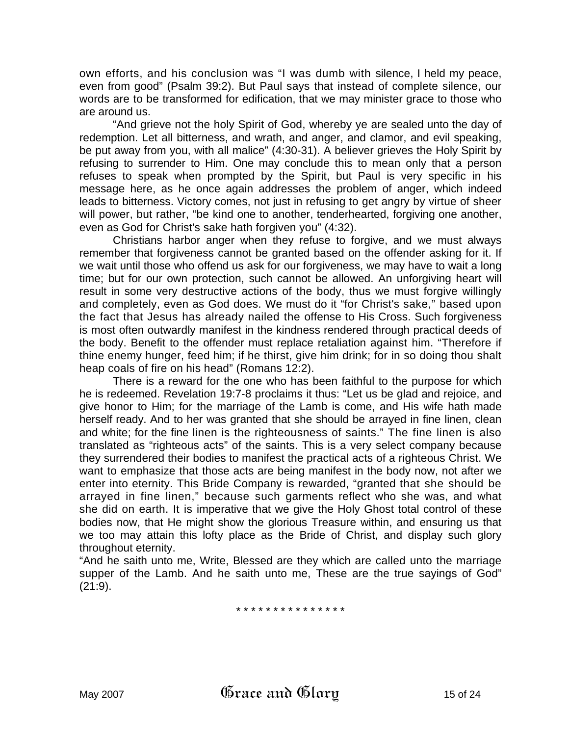own efforts, and his conclusion was "I was dumb with silence, I held my peace, even from good" (Psalm 39:2). But Paul says that instead of complete silence, our words are to be transformed for edification, that we may minister grace to those who are around us.

"And grieve not the holy Spirit of God, whereby ye are sealed unto the day of redemption. Let all bitterness, and wrath, and anger, and clamor, and evil speaking, be put away from you, with all malice" (4:30-31). A believer grieves the Holy Spirit by refusing to surrender to Him. One may conclude this to mean only that a person refuses to speak when prompted by the Spirit, but Paul is very specific in his message here, as he once again addresses the problem of anger, which indeed leads to bitterness. Victory comes, not just in refusing to get angry by virtue of sheer will power, but rather, "be kind one to another, tenderhearted, forgiving one another, even as God for Christ's sake hath forgiven you" (4:32).

Christians harbor anger when they refuse to forgive, and we must always remember that forgiveness cannot be granted based on the offender asking for it. If we wait until those who offend us ask for our forgiveness, we may have to wait a long time; but for our own protection, such cannot be allowed. An unforgiving heart will result in some very destructive actions of the body, thus we must forgive willingly and completely, even as God does. We must do it "for Christ's sake," based upon the fact that Jesus has already nailed the offense to His Cross. Such forgiveness is most often outwardly manifest in the kindness rendered through practical deeds of the body. Benefit to the offender must replace retaliation against him. "Therefore if thine enemy hunger, feed him; if he thirst, give him drink; for in so doing thou shalt heap coals of fire on his head" (Romans 12:2).

There is a reward for the one who has been faithful to the purpose for which he is redeemed. Revelation 19:7-8 proclaims it thus: "Let us be glad and rejoice, and give honor to Him; for the marriage of the Lamb is come, and His wife hath made herself ready. And to her was granted that she should be arrayed in fine linen, clean and white; for the fine linen is the righteousness of saints." The fine linen is also translated as "righteous acts" of the saints. This is a very select company because they surrendered their bodies to manifest the practical acts of a righteous Christ. We want to emphasize that those acts are being manifest in the body now, not after we enter into eternity. This Bride Company is rewarded, "granted that she should be arrayed in fine linen," because such garments reflect who she was, and what she did on earth. It is imperative that we give the Holy Ghost total control of these bodies now, that He might show the glorious Treasure within, and ensuring us that we too may attain this lofty place as the Bride of Christ, and display such glory throughout eternity.

"And he saith unto me, Write, Blessed are they which are called unto the marriage supper of the Lamb. And he saith unto me, These are the true sayings of God"  $(21:9)$ .

\* \* \* \* \* \* \* \* \* \* \* \* \* \* \*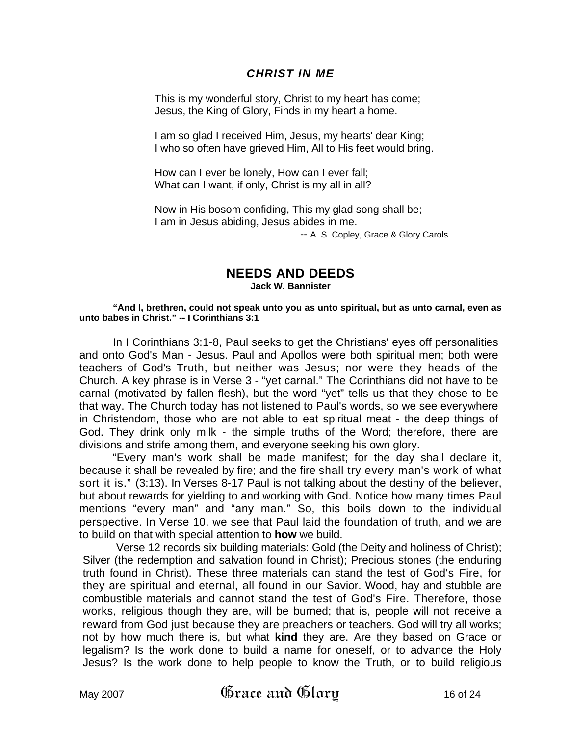## *CHRIST IN ME*

This is my wonderful story, Christ to my heart has come; Jesus, the King of Glory, Finds in my heart a home.

I am so glad I received Him, Jesus, my hearts' dear King; I who so often have grieved Him, All to His feet would bring.

How can I ever be lonely, How can I ever fall; What can I want, if only, Christ is my all in all?

Now in His bosom confiding, This my glad song shall be; I am in Jesus abiding, Jesus abides in me.

-- A. S. Copley, Grace & Glory Carols

# **NEEDS AND DEEDS**

**Jack W. Bannister** 

#### **"And I, brethren, could not speak unto you as unto spiritual, but as unto carnal, even as unto babes in Christ." -- I Corinthians 3:1**

In I Corinthians 3:1-8, Paul seeks to get the Christians' eyes off personalities and onto God's Man - Jesus. Paul and Apollos were both spiritual men; both were teachers of God's Truth, but neither was Jesus; nor were they heads of the Church. A key phrase is in Verse 3 - "yet carnal." The Corinthians did not have to be carnal (motivated by fallen flesh), but the word "yet" tells us that they chose to be that way. The Church today has not listened to Paul's words, so we see everywhere in Christendom, those who are not able to eat spiritual meat - the deep things of God. They drink only milk - the simple truths of the Word; therefore, there are divisions and strife among them, and everyone seeking his own glory.

"Every man's work shall be made manifest; for the day shall declare it, because it shall be revealed by fire; and the fire shall try every man's work of what sort it is." (3:13). In Verses 8-17 Paul is not talking about the destiny of the believer, but about rewards for yielding to and working with God. Notice how many times Paul mentions "every man" and "any man." So, this boils down to the individual perspective. In Verse 10, we see that Paul laid the foundation of truth, and we are to build on that with special attention to **how** we build.

Verse 12 records six building materials: Gold (the Deity and holiness of Christ); Silver (the redemption and salvation found in Christ); Precious stones (the enduring truth found in Christ). These three materials can stand the test of God's Fire, for they are spiritual and eternal, all found in our Savior. Wood, hay and stubble are combustible materials and cannot stand the test of God's Fire. Therefore, those works, religious though they are, will be burned; that is, people will not receive a reward from God just because they are preachers or teachers. God will try all works; not by how much there is, but what **kind** they are. Are they based on Grace or legalism? Is the work done to build a name for oneself, or to advance the Holy Jesus? Is the work done to help people to know the Truth, or to build religious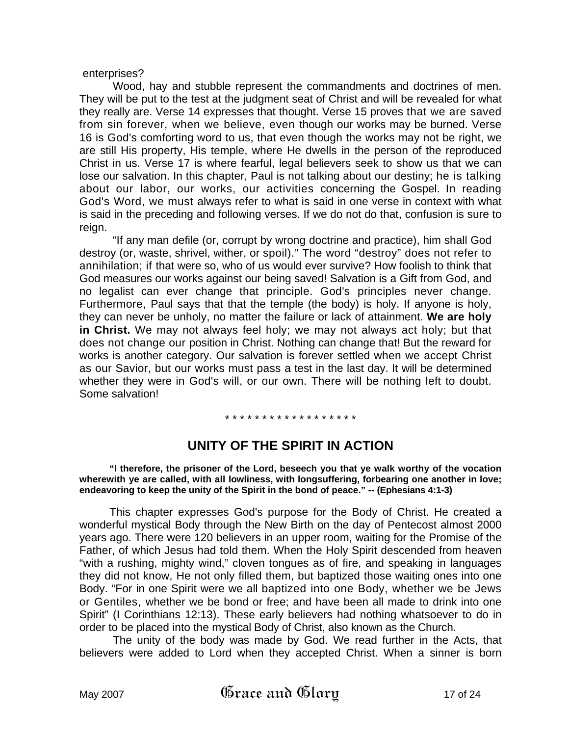#### enterprises?

Wood, hay and stubble represent the commandments and doctrines of men. They will be put to the test at the judgment seat of Christ and will be revealed for what they really are. Verse 14 expresses that thought. Verse 15 proves that we are saved from sin forever, when we believe, even though our works may be burned. Verse 16 is God's comforting word to us, that even though the works may not be right, we are still His property, His temple, where He dwells in the person of the reproduced Christ in us. Verse 17 is where fearful, legal believers seek to show us that we can lose our salvation. In this chapter, Paul is not talking about our destiny; he is talking about our labor, our works, our activities concerning the Gospel. In reading God's Word, we must always refer to what is said in one verse in context with what is said in the preceding and following verses. If we do not do that, confusion is sure to reign.

"If any man defile (or, corrupt by wrong doctrine and practice), him shall God destroy (or, waste, shrivel, wither, or spoil)." The word "destroy" does not refer to annihilation; if that were so, who of us would ever survive? How foolish to think that God measures our works against our being saved! Salvation is a Gift from God, and no legalist can ever change that principle. God's principles never change. Furthermore, Paul says that that the temple (the body) is holy. If anyone is holy, they can never be unholy, no matter the failure or lack of attainment. **We are holy in Christ.** We may not always feel holy; we may not always act holy; but that does not change our position in Christ. Nothing can change that! But the reward for works is another category. Our salvation is forever settled when we accept Christ as our Savior, but our works must pass a test in the last day. It will be determined whether they were in God's will, or our own. There will be nothing left to doubt. Some salvation!

#### \* \* \* \* \* \* \* \* \* \* \* \* \* \* \* \* \* \*

# **UNITY OF THE SPIRIT IN ACTION**

**"I therefore, the prisoner of the Lord, beseech you that ye walk worthy of the vocation wherewith ye are called, with all lowliness, with longsuffering, forbearing one another in love; endeavoring to keep the unity of the Spirit in the bond of peace." -- (Ephesians 4:1-3)** 

This chapter expresses God's purpose for the Body of Christ. He created a wonderful mystical Body through the New Birth on the day of Pentecost almost 2000 years ago. There were 120 believers in an upper room, waiting for the Promise of the Father, of which Jesus had told them. When the Holy Spirit descended from heaven "with a rushing, mighty wind," cloven tongues as of fire, and speaking in languages they did not know, He not only filled them, but baptized those waiting ones into one Body. "For in one Spirit were we all baptized into one Body, whether we be Jews or Gentiles, whether we be bond or free; and have been all made to drink into one Spirit" (I Corinthians 12:13). These early believers had nothing whatsoever to do in order to be placed into the mystical Body of Christ, also known as the Church.

The unity of the body was made by God. We read further in the Acts, that believers were added to Lord when they accepted Christ. When a sinner is born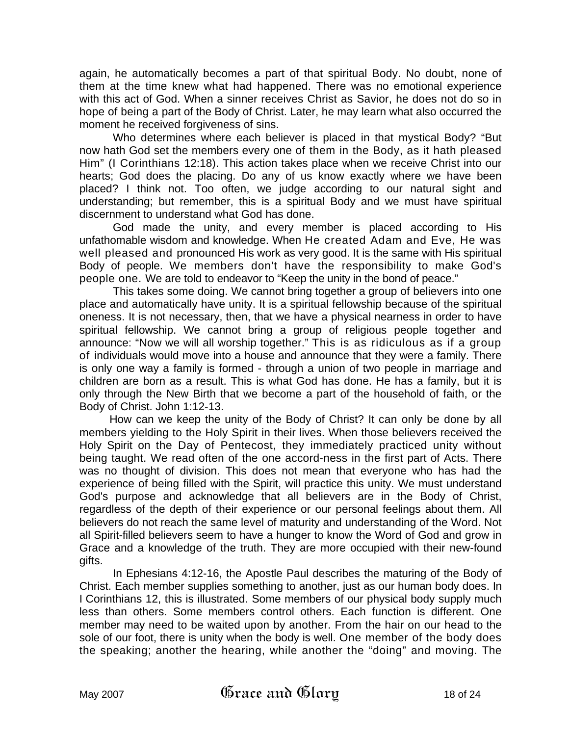again, he automatically becomes a part of that spiritual Body. No doubt, none of them at the time knew what had happened. There was no emotional experience with this act of God. When a sinner receives Christ as Savior, he does not do so in hope of being a part of the Body of Christ. Later, he may learn what also occurred the moment he received forgiveness of sins.

Who determines where each believer is placed in that mystical Body? "But now hath God set the members every one of them in the Body, as it hath pleased Him" (I Corinthians 12:18). This action takes place when we receive Christ into our hearts; God does the placing. Do any of us know exactly where we have been placed? I think not. Too often, we judge according to our natural sight and understanding; but remember, this is a spiritual Body and we must have spiritual discernment to understand what God has done.

God made the unity, and every member is placed according to His unfathomable wisdom and knowledge. When He created Adam and Eve, He was well pleased and pronounced His work as very good. It is the same with His spiritual Body of people. We members don't have the responsibility to make God's people one. We are told to endeavor to "Keep the unity in the bond of peace."

This takes some doing. We cannot bring together a group of believers into one place and automatically have unity. It is a spiritual fellowship because of the spiritual oneness. It is not necessary, then, that we have a physical nearness in order to have spiritual fellowship. We cannot bring a group of religious people together and announce: "Now we will all worship together." This is as ridiculous as if a group of individuals would move into a house and announce that they were a family. There is only one way a family is formed - through a union of two people in marriage and children are born as a result. This is what God has done. He has a family, but it is only through the New Birth that we become a part of the household of faith, or the Body of Christ. John 1:12-13.

How can we keep the unity of the Body of Christ? It can only be done by all members yielding to the Holy Spirit in their lives. When those believers received the Holy Spirit on the Day of Pentecost, they immediately practiced unity without being taught. We read often of the one accord-ness in the first part of Acts. There was no thought of division. This does not mean that everyone who has had the experience of being filled with the Spirit, will practice this unity. We must understand God's purpose and acknowledge that all believers are in the Body of Christ, regardless of the depth of their experience or our personal feelings about them. All believers do not reach the same level of maturity and understanding of the Word. Not all Spirit-filled believers seem to have a hunger to know the Word of God and grow in Grace and a knowledge of the truth. They are more occupied with their new-found gifts.

In Ephesians 4:12-16, the Apostle Paul describes the maturing of the Body of Christ. Each member supplies something to another, just as our human body does. In I Corinthians 12, this is illustrated. Some members of our physical body supply much less than others. Some members control others. Each function is different. One member may need to be waited upon by another. From the hair on our head to the sole of our foot, there is unity when the body is well. One member of the body does the speaking; another the hearing, while another the "doing" and moving. The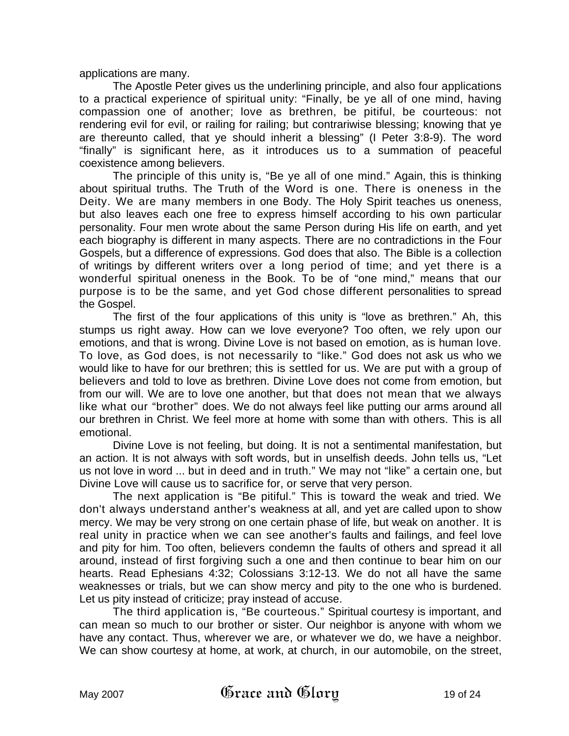applications are many.

The Apostle Peter gives us the underlining principle, and also four applications to a practical experience of spiritual unity: "Finally, be ye all of one mind, having compassion one of another; love as brethren, be pitiful, be courteous: not rendering evil for evil, or railing for railing; but contrariwise blessing; knowing that ye are thereunto called, that ye should inherit a blessing" (I Peter 3:8-9). The word "finally" is significant here, as it introduces us to a summation of peaceful coexistence among believers.

The principle of this unity is, "Be ye all of one mind." Again, this is thinking about spiritual truths. The Truth of the Word is one. There is oneness in the Deity. We are many members in one Body. The Holy Spirit teaches us oneness, but also leaves each one free to express himself according to his own particular personality. Four men wrote about the same Person during His life on earth, and yet each biography is different in many aspects. There are no contradictions in the Four Gospels, but a difference of expressions. God does that also. The Bible is a collection of writings by different writers over a long period of time; and yet there is a wonderful spiritual oneness in the Book. To be of "one mind," means that our purpose is to be the same, and yet God chose different personalities to spread the Gospel.

The first of the four applications of this unity is "love as brethren." Ah, this stumps us right away. How can we love everyone? Too often, we rely upon our emotions, and that is wrong. Divine Love is not based on emotion, as is human love. To love, as God does, is not necessarily to "like." God does not ask us who we would like to have for our brethren; this is settled for us. We are put with a group of believers and told to love as brethren. Divine Love does not come from emotion, but from our will. We are to love one another, but that does not mean that we always like what our "brother" does. We do not always feel like putting our arms around all our brethren in Christ. We feel more at home with some than with others. This is all emotional.

Divine Love is not feeling, but doing. It is not a sentimental manifestation, but an action. It is not always with soft words, but in unselfish deeds. John tells us, "Let us not love in word ... but in deed and in truth." We may not "like" a certain one, but Divine Love will cause us to sacrifice for, or serve that very person.

The next application is "Be pitiful." This is toward the weak and tried. We don't always understand anther's weakness at all, and yet are called upon to show mercy. We may be very strong on one certain phase of life, but weak on another. It is real unity in practice when we can see another's faults and failings, and feel love and pity for him. Too often, believers condemn the faults of others and spread it all around, instead of first forgiving such a one and then continue to bear him on our hearts. Read Ephesians 4:32; Colossians 3:12-13. We do not all have the same weaknesses or trials, but we can show mercy and pity to the one who is burdened. Let us pity instead of criticize; pray instead of accuse.

The third application is, "Be courteous." Spiritual courtesy is important, and can mean so much to our brother or sister. Our neighbor is anyone with whom we have any contact. Thus, wherever we are, or whatever we do, we have a neighbor. We can show courtesy at home, at work, at church, in our automobile, on the street,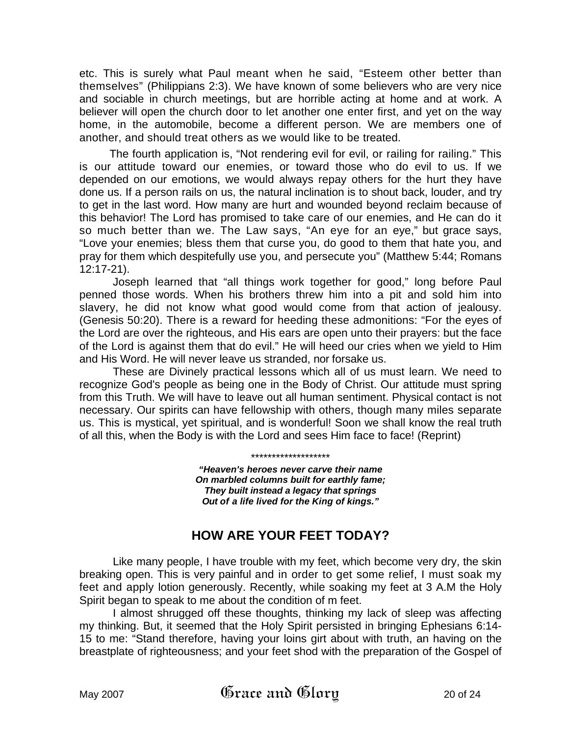etc. This is surely what Paul meant when he said, "Esteem other better than themselves" (Philippians 2:3). We have known of some believers who are very nice and sociable in church meetings, but are horrible acting at home and at work. A believer will open the church door to let another one enter first, and yet on the way home, in the automobile, become a different person. We are members one of another, and should treat others as we would like to be treated.

The fourth application is, "Not rendering evil for evil, or railing for railing." This is our attitude toward our enemies, or toward those who do evil to us. If we depended on our emotions, we would always repay others for the hurt they have done us. If a person rails on us, the natural inclination is to shout back, louder, and try to get in the last word. How many are hurt and wounded beyond reclaim because of this behavior! The Lord has promised to take care of our enemies, and He can do it so much better than we. The Law says, "An eye for an eye," but grace says, "Love your enemies; bless them that curse you, do good to them that hate you, and pray for them which despitefully use you, and persecute you" (Matthew 5:44; Romans 12:17-21).

Joseph learned that "all things work together for good," long before Paul penned those words. When his brothers threw him into a pit and sold him into slavery, he did not know what good would come from that action of jealousy. (Genesis 50:20). There is a reward for heeding these admonitions: "For the eyes of the Lord are over the righteous, and His ears are open unto their prayers: but the face of the Lord is against them that do evil." He will heed our cries when we yield to Him and His Word. He will never leave us stranded, nor forsake us.

 These are Divinely practical lessons which all of us must learn. We need to recognize God's people as being one in the Body of Christ. Our attitude must spring from this Truth. We will have to leave out all human sentiment. Physical contact is not necessary. Our spirits can have fellowship with others, though many miles separate us. This is mystical, yet spiritual, and is wonderful! Soon we shall know the real truth of all this, when the Body is with the Lord and sees Him face to face! (Reprint)

> *"Heaven's heroes never carve their name On marbled columns built for earthly fame; They built instead a legacy that springs Out of a life lived for the King of kings."*

\*\*\*\*\*\*\*\*\*\*\*\*\*\*\*\*\*\*\*

# **HOW ARE YOUR FEET TODAY?**

Like many people, I have trouble with my feet, which become very dry, the skin breaking open. This is very painful and in order to get some relief, I must soak my feet and apply lotion generously. Recently, while soaking my feet at 3 A.M the Holy Spirit began to speak to me about the condition of m feet.

I almost shrugged off these thoughts, thinking my lack of sleep was affecting my thinking. But, it seemed that the Holy Spirit persisted in bringing Ephesians 6:14- 15 to me: "Stand therefore, having your loins girt about with truth, an having on the breastplate of righteousness; and your feet shod with the preparation of the Gospel of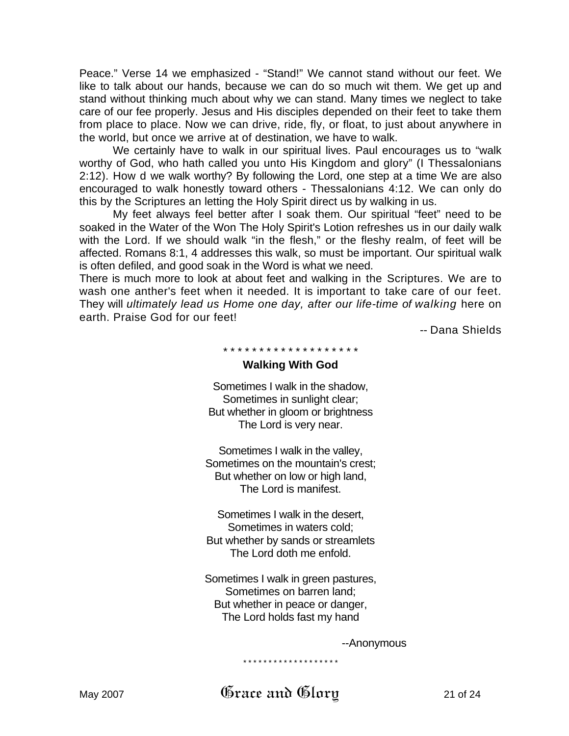Peace." Verse 14 we emphasized - "Stand!" We cannot stand without our feet. We like to talk about our hands, because we can do so much wit them. We get up and stand without thinking much about why we can stand. Many times we neglect to take care of our fee properly. Jesus and His disciples depended on their feet to take them from place to place. Now we can drive, ride, fly, or float, to just about anywhere in the world, but once we arrive at of destination, we have to walk.

We certainly have to walk in our spiritual lives. Paul encourages us to "walk worthy of God, who hath called you unto His Kingdom and glory" (I Thessalonians 2:12). How d we walk worthy? By following the Lord, one step at a time We are also encouraged to walk honestly toward others - Thessalonians 4:12. We can only do this by the Scriptures an letting the Holy Spirit direct us by walking in us.

My feet always feel better after I soak them. Our spiritual "feet" need to be soaked in the Water of the Won The Holy Spirit's Lotion refreshes us in our daily walk with the Lord. If we should walk "in the flesh," or the fleshy realm, of feet will be affected. Romans 8:1, 4 addresses this walk, so must be important. Our spiritual walk is often defiled, and good soak in the Word is what we need.

There is much more to look at about feet and walking in the Scriptures. We are to wash one anther's feet when it needed. It is important to take care of our feet. They will *ultimately lead us Home one day, after our life-time of walking* here on earth. Praise God for our feet!

-- Dana Shields

\* \* \* \* \* \* \* \* \* \* \* \* \* \* \* \* \* \* \*

#### **Walking With God**

Sometimes I walk in the shadow, Sometimes in sunlight clear; But whether in gloom or brightness The Lord is very near.

Sometimes I walk in the valley, Sometimes on the mountain's crest; But whether on low or high land, The Lord is manifest.

Sometimes I walk in the desert, Sometimes in waters cold; But whether by sands or streamlets The Lord doth me enfold.

Sometimes I walk in green pastures, Sometimes on barren land; But whether in peace or danger, The Lord holds fast my hand

--Anonymous

\* \* \* \* \* \* \* \* \* \* \* \* \* \* \* \* \* \* \*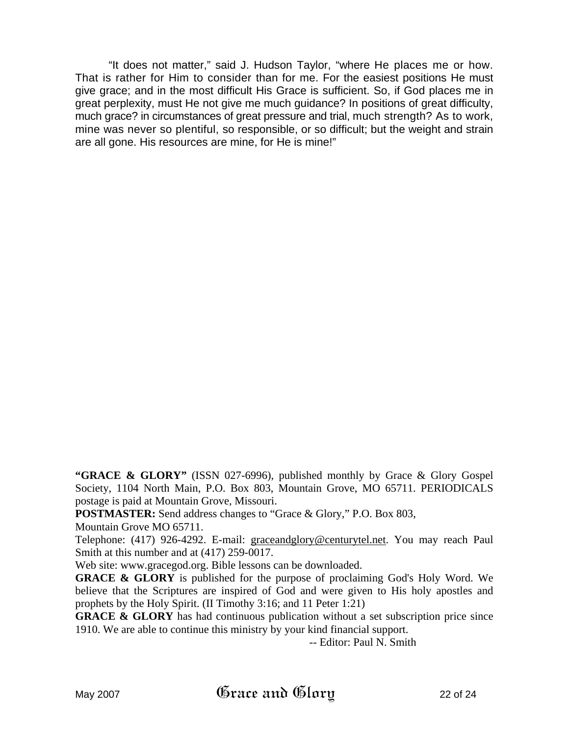"It does not matter," said J. Hudson Taylor, "where He places me or how. That is rather for Him to consider than for me. For the easiest positions He must give grace; and in the most difficult His Grace is sufficient. So, if God places me in great perplexity, must He not give me much guidance? In positions of great difficulty, much grace? in circumstances of great pressure and trial, much strength? As to work, mine was never so plentiful, so responsible, or so difficult; but the weight and strain are all gone. His resources are mine, for He is mine!"

"GRACE & GLORY" (ISSN 027-6996), published monthly by Grace & Glory Gospel Society, 1104 North Main, P.O. Box 803, Mountain Grove, MO 65711. PERIODICALS postage is paid at Mountain Grove, Missouri.

**POSTMASTER:** Send address changes to "Grace & Glory," P.O. Box 803,

Mountain Grove MO 65711.

Telephone: (417) 926-4292. E-mail: graceandglory@centurytel.net. You may reach Paul Smith at this number and at (417) 259-0017.

Web site: www.gracegod.org. Bible lessons can be downloaded.

**GRACE & GLORY** is published for the purpose of proclaiming God's Holy Word. We believe that the Scriptures are inspired of God and were given to His holy apostles and prophets by the Holy Spirit. (II Timothy 3:16; and 11 Peter 1:21)

**GRACE & GLORY** has had continuous publication without a set subscription price since 1910. We are able to continue this ministry by your kind financial support.

-- Editor: Paul N. Smith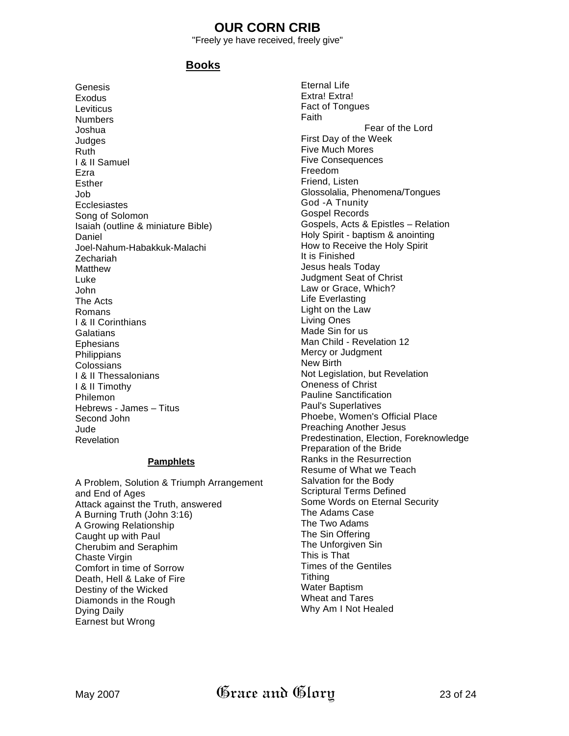# **OUR CORN CRIB**

"Freely ye have received, freely give"

# **Books**

Genesis Exodus **Leviticus Numbers** Joshua Judges Ruth I & II Samuel Ezra Esther Job **Ecclesiastes** Song of Solomon Isaiah (outline & miniature Bible) Daniel Joel-Nahum-Habakkuk-Malachi Zechariah Matthew Luke John The Acts Romans I & II Corinthians **Galatians Ephesians Philippians Colossians** I & II Thessalonians I & II Timothy Philemon Hebrews - James – Titus Second John Jude Revelation

#### **Pamphlets**

A Problem, Solution & Triumph Arrangement and End of Ages Attack against the Truth, answered A Burning Truth (John 3:16) A Growing Relationship Caught up with Paul Cherubim and Seraphim Chaste Virgin Comfort in time of Sorrow Death, Hell & Lake of Fire Destiny of the Wicked Diamonds in the Rough Dying Daily Earnest but Wrong

Eternal Life Extra! Extra! Fact of Tongues Faith Fear of the Lord First Day of the Week Five Much Mores Five Consequences Freedom Friend, Listen Glossolalia, Phenomena/Tongues God -A Tnunity Gospel Records Gospels, Acts & Epistles – Relation Holy Spirit - baptism & anointing How to Receive the Holy Spirit It is Finished Jesus heals Today Judgment Seat of Christ Law or Grace, Which? Life Everlasting Light on the Law Living Ones Made Sin for us Man Child - Revelation 12 Mercy or Judgment New Birth Not Legislation, but Revelation Oneness of Christ Pauline Sanctification Paul's Superlatives Phoebe, Women's Official Place Preaching Another Jesus Predestination, Election, Foreknowledge Preparation of the Bride Ranks in the Resurrection Resume of What we Teach Salvation for the Body Scriptural Terms Defined Some Words on Eternal Security The Adams Case The Two Adams The Sin Offering The Unforgiven Sin This is That Times of the Gentiles **Tithing** Water Baptism Wheat and Tares Why Am I Not Healed